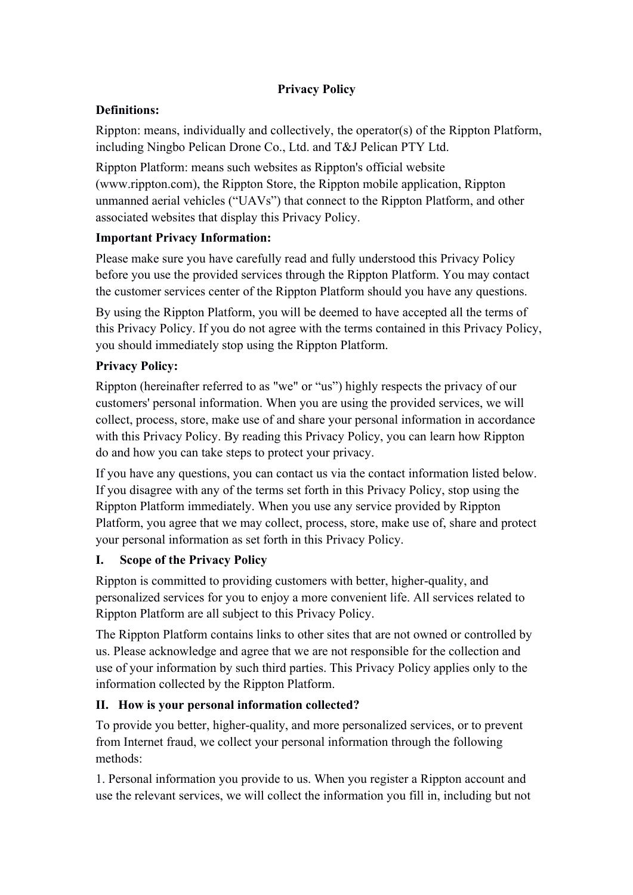## **Privacy Policy**

# **Definitions:**

Rippton: means, individually and collectively, the operator(s) of the Rippton Platform, including Ningbo Pelican Drone Co., Ltd. and T&J Pelican PTY Ltd.

Rippton Platform: means such websites as Rippton's official website (www.rippton.com), the Rippton Store, the Rippton mobile application, Rippton unmanned aerial vehicles ("UAVs") that connect to the Rippton Platform, and other associated websites that display this Privacy Policy.

## **Important Privacy Information:**

Please make sure you have carefully read and fully understood this Privacy Policy before you use the provided services through the Rippton Platform. You may contact the customer services center of the Rippton Platform should you have any questions.

By using the Rippton Platform, you will be deemed to have accepted all the terms of this Privacy Policy. If you do not agree with the terms contained in this Privacy Policy, you should immediately stop using the Rippton Platform.

## **Privacy Policy:**

Rippton (hereinafter referred to as"we" or "us") highly respects the privacy of our customers' personal information. When you are using the provided services, we will collect, process, store, make use of and share your personal information in accordance with this Privacy Policy. By reading this Privacy Policy, you can learn how Rippton do and how you can takesteps to protect your privacy.

If you have any questions, you can contact us via the contact information listed below. If you disagree with any of the terms set forth in this Privacy Policy, stop using the Rippton Platform immediately. When you use any service provided by Rippton Platform, you agree that we may collect, process, store, make use of, share and protect your personal information as set forth in this Privacy Policy.

# **I. Scope of the Privacy Policy**

Rippton is committed to providing customers with better, higher-quality, and personalized services for you to enjoy a more convenient life. All services related to Rippton Platform are all subject to this Privacy Policy.

The Rippton Platform contains links to other sites that are not owned or controlled by us. Please acknowledge and agree that we are not responsible for the collection and use of your information by such third parties. This Privacy Policy applies only to the information collected by the Rippton Platform.

# **II. How is your personal information collected?**

To provide you better, higher-quality, and more personalized services, or to prevent from Internet fraud, we collect your personal information through the following methods:

1. Personal information you provide to us. When you register a Rippton account and use the relevant services, we will collect the information you fill in, including but not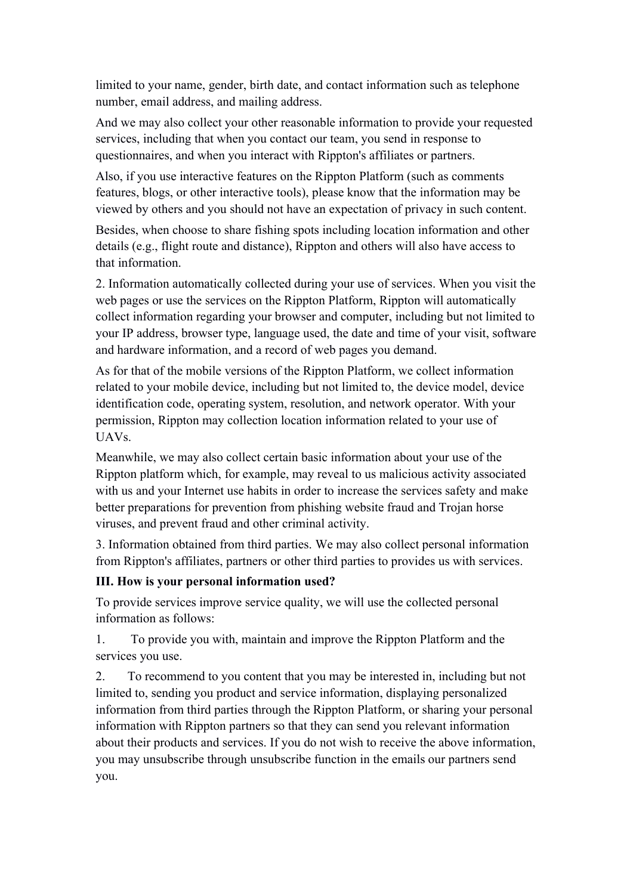limited to your name, gender, birth date, and contact information such as telephone number, email address, and mailing address.

And we may also collect your other reasonable information to provide your requested services, including that when you contact our team, you send in response to questionnaires, and when you interact with Rippton's affiliates or partners.

Also, if you use interactive features on the Rippton Platform (such as comments features, blogs, or other interactive tools), please know that the information may be viewed by others and you should not have an expectation of privacy in such content.

Besides, when choose to share fishing spots including location information and other details (e.g., flight route and distance), Rippton and others will also have access to that information.

2. Information automatically collected during your use of services. When you visit the web pages or use the services on the Rippton Platform, Rippton will automatically collect information regarding your browser and computer, including but not limited to your IP address, browser type, language used, the date and time of your visit, software and hardware information, and a record of web pages you demand.

As for that of the mobile versions of the Rippton Platform, we collect information related to your mobile device, including but not limited to, the device model, device identification code, operating system, resolution, and network operator. With your permission, Rippton may collection location information related to your use of UAVs.

Meanwhile, we may also collect certain basic information about your use of the Rippton platform which, for example, may reveal to us malicious activity associated with us and your Internet use habits in order to increase the services safety and make better preparations for prevention from phishing website fraud and Trojan horse viruses, and prevent fraud and other criminal activity.

3. Information obtained from third parties. We may also collect personal information from Rippton's affiliates, partners or other third parties to provides us with services.

## **III. How is your personal information used?**

To provide services improve service quality, we will use the collected personal information as follows:

1. To provide you with, maintain and improve the Rippton Platform and the services you use.

2. To recommend to you content that you may be interested in, including but not limited to, sending you product and service information, displaying personalized information from third parties through the Rippton Platform, or sharing your personal information with Rippton partners so that they can send you relevant information about their products and services. If you do not wish to receive the above information, you may unsubscribe through unsubscribe function in the emails our partners send you.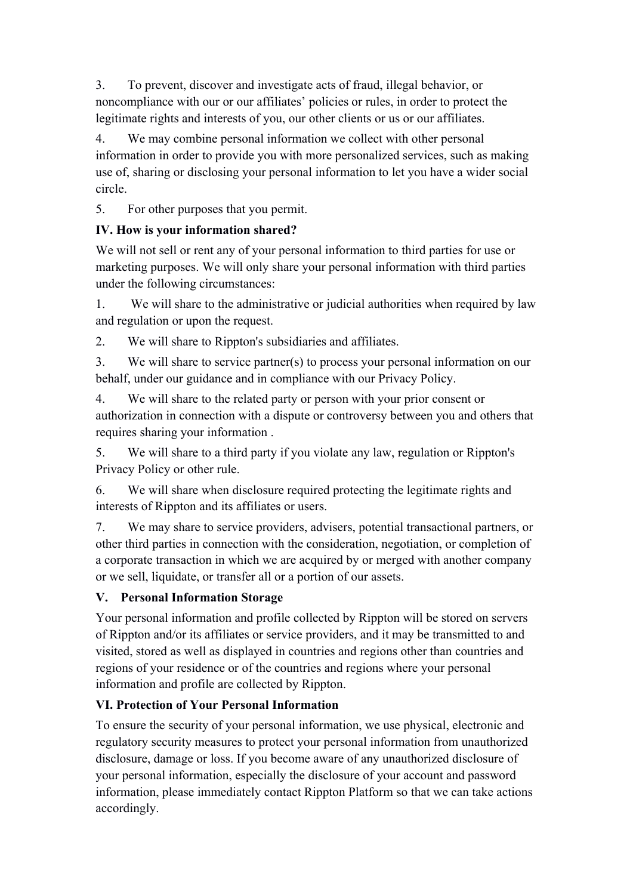3. To prevent, discover and investigate acts offraud, illegal behavior, or noncompliance with our or our affiliates' policies orrules, in order to protect the legitimate rights and interests of you, our other clients or us or our affiliates.

4. We may combine personal information we collect with other personal information in order to provide you with more personalized services, such as making use of, sharing or disclosing your personal information to let you have a wider social circle.

5. For other purposes that you permit.

## **IV. How is your information shared?**

We will not sell or rent any of your personal information to third parties for use or marketing purposes. We will only share your personal information with third parties under the following circumstances:

1. We will share to the administrative or judicial authorities when required by law and regulation or upon the request.

2. We will share to Rippton's subsidiaries and affiliates.

3. We will share to service partner(s) to process your personal information on our behalf, under our guidance and in compliance with our Privacy Policy.

4. We will share to the related party or person with your prior consent or authorization in connection with a dispute or controversy between you and others that requires sharing your information .

5. We will share to a third party if you violate any law, regulation or Rippton's Privacy Policy or other rule.

6. We will share when disclosure required protecting the legitimate rights and interests of Rippton and its affiliates or users.

7. We may share to service providers, advisers, potential transactional partners, or other third parties in connection with the consideration, negotiation, or completion of a corporate transaction in which we are acquired by or merged with another company or we sell, liquidate, or transfer all or a portion of our assets.

# **V. Personal Information Storage**

Your personal information and profile collected by Rippton will be stored on servers of Rippton and/or its affiliates or service providers, and it may be transmitted to and visited, stored as well as displayed in countries and regions other than countries and regions of your residence or of the countries and regions where your personal information and profile are collected by Rippton.

# **VI. Protection of Your Personal Information**

To ensure the security of your personal information, we use physical, electronic and regulatory security measures to protect your personal information from unauthorized disclosure, damage or loss. If you become aware of any unauthorized disclosure of your personal information, especially the disclosure of your account and password information, please immediately contact Rippton Platform so that we can take actions accordingly.